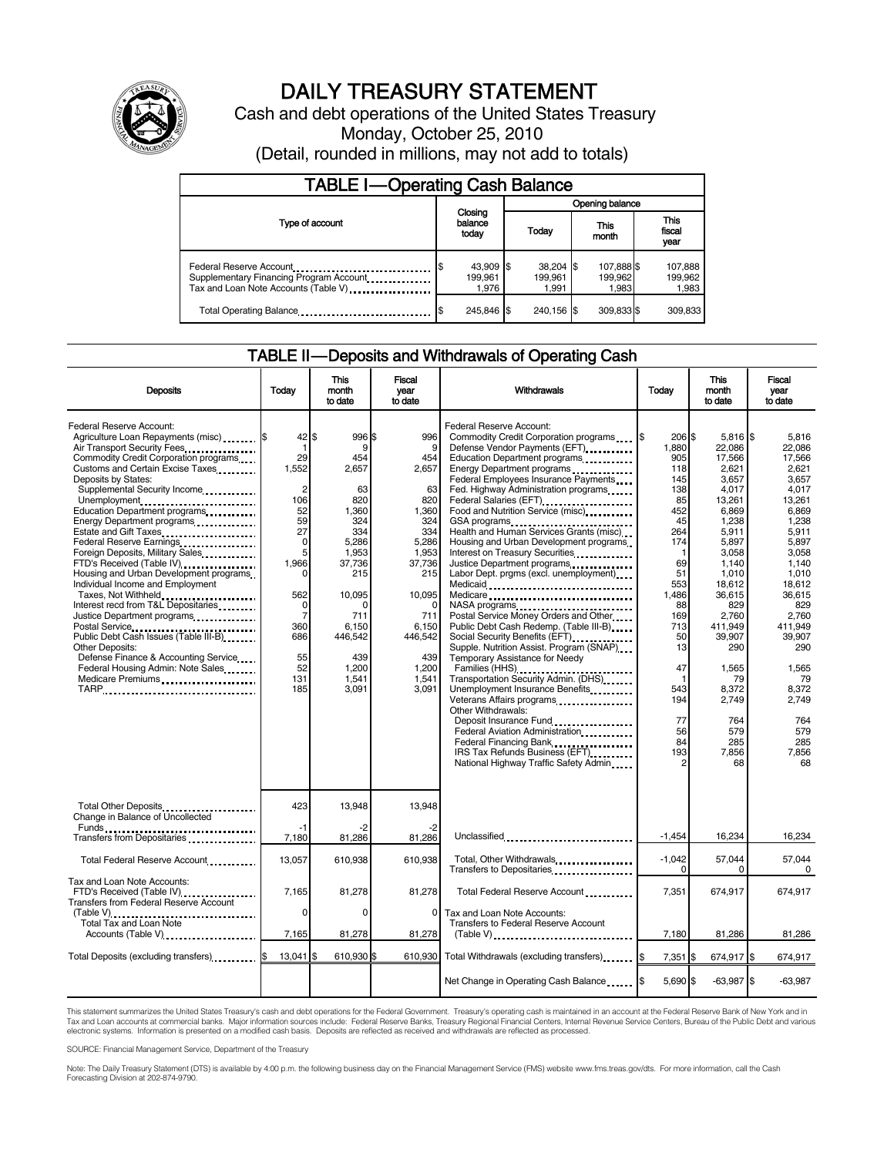

# DAILY TREASURY STATEMENT

Cash and debt operations of the United States Treasury Monday, October 25, 2010 (Detail, rounded in millions, may not add to totals)

| <b>TABLE I-Operating Cash Balance</b>                                                                      |                                    |                                 |                                |                               |  |  |  |  |  |
|------------------------------------------------------------------------------------------------------------|------------------------------------|---------------------------------|--------------------------------|-------------------------------|--|--|--|--|--|
|                                                                                                            |                                    | Opening balance                 |                                |                               |  |  |  |  |  |
| Type of account                                                                                            | Closing<br>balance<br>today        | Today                           | This<br>month                  | <b>This</b><br>fiscal<br>year |  |  |  |  |  |
| Federal Reserve Account<br>Supplementary Financing Program Account<br>Tax and Loan Note Accounts (Table V) | 43,909 \$<br>S<br>199.961<br>1.976 | $38,204$ \$<br>199.961<br>1.991 | 107,888 \$<br>199,962<br>1.983 | 107,888<br>199,962<br>1,983   |  |  |  |  |  |
| Total Operating Balance                                                                                    | 245,846 \$                         | 240.156 \$                      | 309,833 \$                     | 309,833                       |  |  |  |  |  |

#### TABLE II — Deposits and Withdrawals of Operating Cash

| <b>Deposits</b>                                                                                                                                                                                                                                                                                                                                                                                                                                                                                                                                                                                                                                                                                                                                                                      | Today                                                                                                                                                                                                       | This<br>month<br>to date                                                                                                                                                 | Fiscal<br>vear<br>to date                                                                                                                                              | Withdrawals                                                                                                                                                                                                                                                                                                                                                                                                                                                                                                                                                                                                                                                                                                                                                                                                                                                                                                                                                                                                                                                         | Today                                                                                                                                                                                        | This<br>month<br>to date                                                                                                                                                                                                                                              | Fiscal<br>year<br>to date                                                                                                                                                                                                                                          |
|--------------------------------------------------------------------------------------------------------------------------------------------------------------------------------------------------------------------------------------------------------------------------------------------------------------------------------------------------------------------------------------------------------------------------------------------------------------------------------------------------------------------------------------------------------------------------------------------------------------------------------------------------------------------------------------------------------------------------------------------------------------------------------------|-------------------------------------------------------------------------------------------------------------------------------------------------------------------------------------------------------------|--------------------------------------------------------------------------------------------------------------------------------------------------------------------------|------------------------------------------------------------------------------------------------------------------------------------------------------------------------|---------------------------------------------------------------------------------------------------------------------------------------------------------------------------------------------------------------------------------------------------------------------------------------------------------------------------------------------------------------------------------------------------------------------------------------------------------------------------------------------------------------------------------------------------------------------------------------------------------------------------------------------------------------------------------------------------------------------------------------------------------------------------------------------------------------------------------------------------------------------------------------------------------------------------------------------------------------------------------------------------------------------------------------------------------------------|----------------------------------------------------------------------------------------------------------------------------------------------------------------------------------------------|-----------------------------------------------------------------------------------------------------------------------------------------------------------------------------------------------------------------------------------------------------------------------|--------------------------------------------------------------------------------------------------------------------------------------------------------------------------------------------------------------------------------------------------------------------|
| Federal Reserve Account:<br>Agriculture Loan Repayments (misc) [\$<br>Air Transport Security Fees<br>Commodity Credit Corporation programs<br>Customs and Certain Excise Taxes<br>Deposits by States:<br>Supplemental Security Income<br>Unemployment<br>Education Department programs<br>Energy Department programs<br>Estate and Gift Taxes<br>Federal Reserve Earnings<br>Foreign Deposits, Military Sales<br>FTD's Received (Table IV)<br>Housing and Urban Development programs<br>Individual Income and Employment<br>Taxes, Not Withheld<br>Interest recd from T&L Depositaries<br>Justice Department programs<br>Public Debt Cash Issues (Table III-B).<br>Other Deposits:<br>Defense Finance & Accounting Service<br>Federal Housing Admin: Note Sales<br>Medicare Premiums | $42\overline{\phantom{0}}$ \$<br>1<br>29<br>1.552<br>$\overline{2}$<br>106<br>52<br>59<br>27<br>$\mathbf 0$<br>5<br>1.966<br>0<br>562<br>$\Omega$<br>$\overline{7}$<br>360<br>686<br>55<br>52<br>131<br>185 | 996\$<br>9<br>454<br>2,657<br>63<br>820<br>1,360<br>324<br>334<br>5,286<br>1,953<br>37,736<br>215<br>10,095<br>711<br>6,150<br>446,542<br>439<br>1.200<br>1,541<br>3,091 | 996<br>9<br>454<br>2,657<br>63<br>820<br>1,360<br>324<br>334<br>5,286<br>1,953<br>37,736<br>215<br>10,095<br>711<br>6,150<br>446,542<br>439<br>1,200<br>1,541<br>3,091 | Federal Reserve Account:<br>Commodity Credit Corporation programs<br>Defense Vendor Payments (EFT)<br>Education Department programs<br>Energy Department programs<br>Federal Employees Insurance Payments<br>Fed. Highway Administration programs<br>Federal Salaries (EFT)<br>Food and Nutrition Service (misc) [100]<br>GSA programs<br>Health and Human Services Grants (misc)<br>Housing and Urban Development programs<br>Interest on Treasury Securities<br>Justice Department programs<br><br>Labor Dept. prgms (excl. unemployment)<br>Medicare<br>NASA programs<br>Postal Service Money Orders and Other<br>Public Debt Cash Redemp. (Table III-B)<br>Social Security Benefits (EFT)<br>Supple. Nutrition Assist. Program (SNAP)<br>Temporary Assistance for Needy<br>Families (HHS)<br>Transportation Security Admin. (DHS)<br>Unemployment Insurance Benefits<br>Veterans Affairs programs<br>Other Withdrawals:<br>Deposit Insurance Fund<br>Federal Aviation Administration<br>IRS Tax Refunds Business (EFT)<br>National Highway Traffic Safety Admin | 206 \$<br>1\$<br>1,880<br>905<br>118<br>145<br>138<br>85<br>452<br>45<br>264<br>174<br>69<br>51<br>553<br>1,486<br>88<br>169<br>713<br>50<br>13<br>47<br>543<br>194<br>77<br>56<br>84<br>193 | 5,816 \$<br>22,086<br>17,566<br>2,621<br>3,657<br>4,017<br>13,261<br>6,869<br>1,238<br>5,911<br>5,897<br>3,058<br>1,140<br>1,010<br>18,612<br>36,615<br>829<br>2,760<br>411,949<br>39,907<br>290<br>1,565<br>79<br>8,372<br>2,749<br>764<br>579<br>285<br>7,856<br>68 | 5,816<br>22.086<br>17,566<br>2.621<br>3,657<br>4,017<br>13,261<br>6.869<br>1.238<br>5,911<br>5,897<br>3.058<br>1.140<br>1,010<br>18,612<br>36,615<br>829<br>2.760<br>411,949<br>39,907<br>290<br>1.565<br>79<br>8,372<br>2,749<br>764<br>579<br>285<br>7.856<br>68 |
| Total Other Deposits<br>Change in Balance of Uncollected                                                                                                                                                                                                                                                                                                                                                                                                                                                                                                                                                                                                                                                                                                                             | 423                                                                                                                                                                                                         | 13,948                                                                                                                                                                   | 13,948                                                                                                                                                                 |                                                                                                                                                                                                                                                                                                                                                                                                                                                                                                                                                                                                                                                                                                                                                                                                                                                                                                                                                                                                                                                                     |                                                                                                                                                                                              |                                                                                                                                                                                                                                                                       |                                                                                                                                                                                                                                                                    |
| Transfers from Depositaries                                                                                                                                                                                                                                                                                                                                                                                                                                                                                                                                                                                                                                                                                                                                                          | -1<br>7,180                                                                                                                                                                                                 | 81,286                                                                                                                                                                   | 81,286                                                                                                                                                                 | Unclassified                                                                                                                                                                                                                                                                                                                                                                                                                                                                                                                                                                                                                                                                                                                                                                                                                                                                                                                                                                                                                                                        | $-1,454$                                                                                                                                                                                     | 16,234                                                                                                                                                                                                                                                                | 16,234                                                                                                                                                                                                                                                             |
| Total Federal Reserve Account                                                                                                                                                                                                                                                                                                                                                                                                                                                                                                                                                                                                                                                                                                                                                        | 13,057                                                                                                                                                                                                      | 610,938                                                                                                                                                                  | 610.938                                                                                                                                                                | Total, Other Withdrawals<br>Transfers to Depositaries                                                                                                                                                                                                                                                                                                                                                                                                                                                                                                                                                                                                                                                                                                                                                                                                                                                                                                                                                                                                               | $-1,042$<br>$\Omega$                                                                                                                                                                         | 57.044<br>0                                                                                                                                                                                                                                                           | 57.044<br>$\mathbf 0$                                                                                                                                                                                                                                              |
| Tax and Loan Note Accounts:<br>FTD's Received (Table IV)<br><b>Transfers from Federal Reserve Account</b><br>(Table V)<br>Total Tax and Loan Note                                                                                                                                                                                                                                                                                                                                                                                                                                                                                                                                                                                                                                    | 7,165<br>$\Omega$                                                                                                                                                                                           | 81,278<br>0                                                                                                                                                              | 81,278<br>$\Omega$                                                                                                                                                     | Total Federal Reserve Account<br>Tax and Loan Note Accounts:<br><b>Transfers to Federal Reserve Account</b>                                                                                                                                                                                                                                                                                                                                                                                                                                                                                                                                                                                                                                                                                                                                                                                                                                                                                                                                                         | 7,351                                                                                                                                                                                        | 674,917                                                                                                                                                                                                                                                               | 674,917                                                                                                                                                                                                                                                            |
| Accounts (Table V) <b>[19] Accounts</b> (Table V) <b>[19] Accounts</b> (Table V) <b>[19]</b>                                                                                                                                                                                                                                                                                                                                                                                                                                                                                                                                                                                                                                                                                         | 7,165                                                                                                                                                                                                       | 81,278                                                                                                                                                                   | 81,278                                                                                                                                                                 |                                                                                                                                                                                                                                                                                                                                                                                                                                                                                                                                                                                                                                                                                                                                                                                                                                                                                                                                                                                                                                                                     | 7,180                                                                                                                                                                                        | 81,286                                                                                                                                                                                                                                                                | 81,286                                                                                                                                                                                                                                                             |
| Total Deposits (excluding transfers) [\$                                                                                                                                                                                                                                                                                                                                                                                                                                                                                                                                                                                                                                                                                                                                             | 13,041 \$                                                                                                                                                                                                   | 610,930 \$                                                                                                                                                               | 610.930                                                                                                                                                                | Total Withdrawals (excluding transfers) [\$                                                                                                                                                                                                                                                                                                                                                                                                                                                                                                                                                                                                                                                                                                                                                                                                                                                                                                                                                                                                                         | 7,351                                                                                                                                                                                        | 674,917 \$                                                                                                                                                                                                                                                            | 674,917                                                                                                                                                                                                                                                            |
|                                                                                                                                                                                                                                                                                                                                                                                                                                                                                                                                                                                                                                                                                                                                                                                      |                                                                                                                                                                                                             |                                                                                                                                                                          |                                                                                                                                                                        | Net Change in Operating Cash Balance                                                                                                                                                                                                                                                                                                                                                                                                                                                                                                                                                                                                                                                                                                                                                                                                                                                                                                                                                                                                                                | 5,690 \$                                                                                                                                                                                     | $-63,987$ \$                                                                                                                                                                                                                                                          | $-63,987$                                                                                                                                                                                                                                                          |

This statement summarizes the United States Treasury's cash and debt operations for the Federal Government. Treasury's operating cash is maintained in an account at the Federal Reserve Bank of New York and in<br>Tax and Loan

SOURCE: Financial Management Service, Department of the Treasury

Note: The Daily Treasury Statement (DTS) is available by 4:00 p.m. the following business day on the Financial Management Service (FMS) website www.fms.treas.gov/dts. For more information, call the Cash Forecasting Division at 202-874-9790.